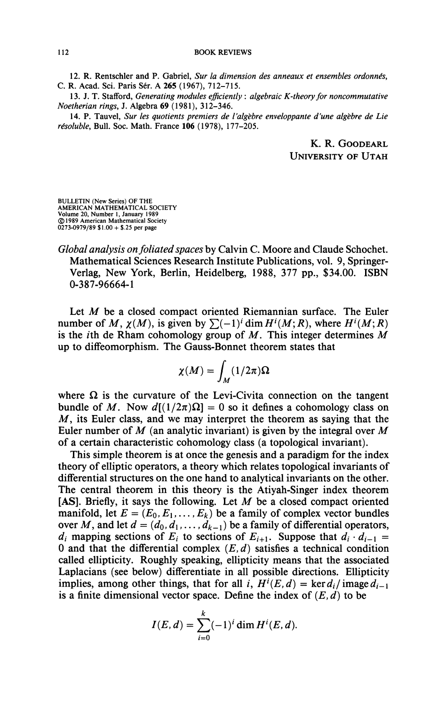12. R. **Rentschler and** P. Gabriel, *Sur la dimension des anneaux et ensembles ordonnés,*  C. R. Acad. Sci. Paris Sér. A **265** (1967), 712-715.

13. J. T. Stafford, *Generating modules efficiently* : *algebraic K-theoryfor noncommutative Noetherian rings,* J. Algebra 69 (1981), 312-346.

14. P. Tauvel, *Sur les quotients premiers de l'algèbre enveloppante d'une algèbre de Lie résoluble,* **Bull.** Soc. **Math.** France **106** (1978), 177-205.

> K. R. GOODEARL UNIVERSITY OF UTAH

BULLETIN (New Series) OF THE AMERICAN MATHEMATICAL SOCIETY Volume 20, Number 1, January 1989 © 1989 American Mathematical Society 0273-0979/89 \$1.00 + \$.25 per page

*Global analysis on foliated spaces* by Calvin C. Moore and Claude Schochet. Mathematical Sciences Research Institute Publications, vol. 9, Springer-Verlag, New York, Berlin, Heidelberg, 1988, 377 pp., \$34.00. ISBN 0-387-96664-1

Let M be a closed compact oriented Riemannian surface. The Euler number of M,  $\chi(M)$ , is given by  $\sum (-1)^i \dim H^i(M; R)$ , where  $H^i(M; R)$ is the *i*th de Rham cohomology group of  $M$ . This integer determines  $M$ up to diffeomorphism. The Gauss-Bonnet theorem states that

$$
\chi(M)=\int_M(1/2\pi)\Omega
$$

where  $\Omega$  is the curvature of the Levi-Civita connection on the tangent bundle of M. Now  $d[(1/2\pi)\Omega] = 0$  so it defines a cohomology class on  $M$ , its Euler class, and we may interpret the theorem as saying that the Euler number of *M* (an analytic invariant) is given by the integral over *M*  of a certain characteristic cohomology class (a topological invariant).

This simple theorem is at once the genesis and a paradigm for the index theory of elliptic operators, a theory which relates topological invariants of differential structures on the one hand to analytical invariants on the other. The central theorem in this theory is the Atiyah-Singer index theorem [AS]. Briefly, it says the following. Let  $M$  be a closed compact oriented manifold, let  $E = (E_0, E_1, \ldots, E_k)$  be a family of complex vector bundles over M, and let  $d = (d_0, d_1, \ldots, d_{k-1})$  be a family of differential operators,  $d_i$  mapping sections of  $E_i$  to sections of  $E_{i+1}$ . Suppose that  $d_i \cdot d_{i-1} =$ 0 and that the differential complex  $(E, d)$  satisfies a technical condition called ellipticity. Roughly speaking, ellipticity means that the associated Laplacians (see below) differentiate in all possible directions. Ellipticity implies, among other things, that for all i,  $H^i(E, d) = \ker d_i / \text{image } d_{i-1}$ is a finite dimensional vector space. Define the index of *(E, d)* to be

$$
I(E,d) = \sum_{i=0}^{k} (-1)^{i} \dim H^{i}(E,d).
$$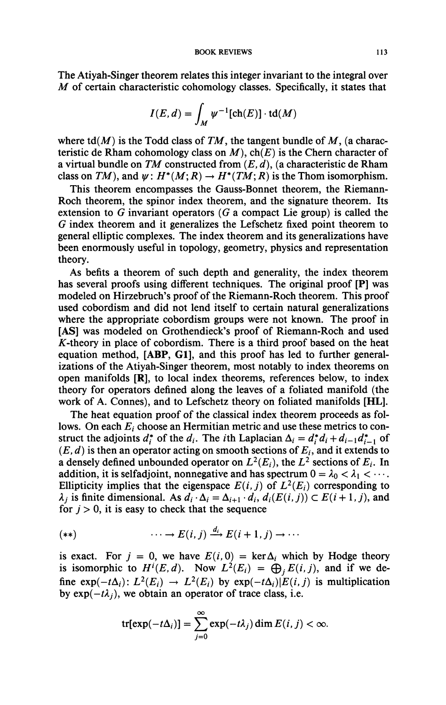The Atiyah-Singer theorem relates this integer invariant to the integral over *M* of certain characteristic cohomology classes. Specifically, it states that

$$
I(E,d) = \int_M \psi^{-1}[\text{ch}(E)] \cdot \text{td}(M)
$$

where  $\text{td}(M)$  is the Todd class of TM, the tangent bundle of M, (a characteristic de Rham cohomology class on  $M$ ),  $ch(E)$  is the Chern character of a virtual bundle on *TM* constructed from *(E, d),* (a characteristic de Rham class on TM), and  $\psi: H^*(M; R) \to H^*(TM; R)$  is the Thom isomorphism.

This theorem encompasses the Gauss-Bonnet theorem, the Riemann-Roch theorem, the spinor index theorem, and the signature theorem. Its extension to *G* invariant operators *(G* a compact Lie group) is called the *G* index theorem and it generalizes the Lefschetz fixed point theorem to general elliptic complexes. The index theorem and its generalizations have been enormously useful in topology, geometry, physics and representation theory.

As befits a theorem of such depth and generality, the index theorem has several proofs using different techniques. The original proof [P] was modeled on Hirzebruch's proof of the Riemann-Roch theorem. This proof used cobordism and did not lend itself to certain natural generalizations where the appropriate cobordism groups were not known. The proof in [AS] was modeled on Grothendieck's proof of Riemann-Roch and used  $K$ -theory in place of cobordism. There is a third proof based on the heat equation method, [ABP, G1], and this proof has led to further generalizations of the Atiyah-Singer theorem, most notably to index theorems on open manifolds [R], to local index theorems, references below, to index theory for operators defined along the leaves of a foliated manifold (the work of A. Connes), and to Lefschetz theory on foliated manifolds [HL].

The heat equation proof of the classical index theorem proceeds as follows. On each  $E_i$  choose an Hermitian metric and use these metrics to construct the adjoints  $d_i^*$  of the  $d_i$ . The *i*th Laplacian  $\Delta_i = d_i^* d_i + d_{i-1} d_{i-1}^*$  of  $(E, d)$  is then an operator acting on smooth sections of  $E_i$ , and it extends to a densely defined unbounded operator on  $L^2(E_i)$ , the  $L^2$  sections of  $E_i$ . In addition, it is selfadjoint, nonnegative and has spectrum  $0 = \lambda_0 < \lambda_1 < \cdots$ . Ellipticity implies that the eigenspace  $E(i, j)$  of  $L^2(E_i)$  corresponding to  $\lambda_i$  is finite dimensional. As  $d_i \cdot \Delta_i = \Delta_{i+1} \cdot d_i$ ,  $d_i(E(i, j)) \subset E(i+1, j)$ , and for  $j > 0$ , it is easy to check that the sequence

$$
(**) \qquad \qquad \cdots \to E(i,j) \xrightarrow{a_i} E(i+1,j) \to \cdots
$$

is exact. For  $j = 0$ , we have  $E(i, 0) = \text{ker }\Delta_i$  which by Hodge theory is isomorphic to  $H^{i}(E, d)$ . Now  $L^{2}(E_{i}) = \bigoplus_{i} E(i, j)$ , and if we define  $exp(-t\Delta_i): L^2(E_i) \to L^2(E_i)$  by  $exp(-t\Delta_i)|E(i,j)$  is multiplication by  $exp(-t\lambda_i)$ , we obtain an operator of trace class, i.e.

$$
\text{tr}[\exp(-t\Delta_i)] = \sum_{j=0}^{\infty} \exp(-t\lambda_j) \dim E(i,j) < \infty.
$$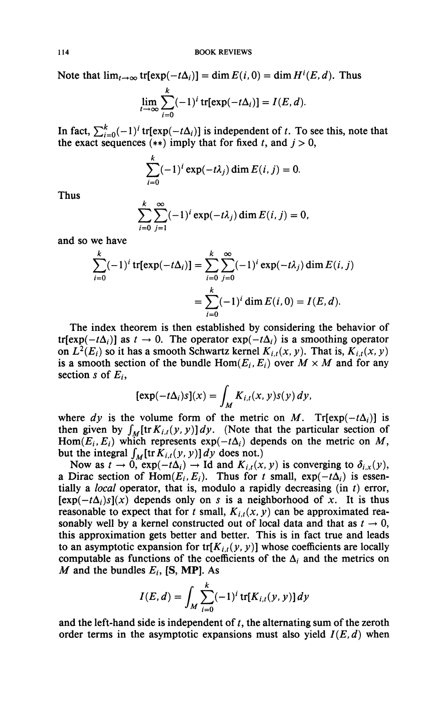Note that  $\lim_{t\to\infty}$  tr[exp( $-t\Delta_i$ )] = dim  $E(i,0)$  = dim  $H^i(E, d)$ . Thus

$$
\lim_{t\to\infty}\sum_{i=0}^k(-1)^i\operatorname{tr}[\exp(-t\Delta_i)]=I(E,d).
$$

In fact,  $\sum_{i=0}^{k}(-1)^{i}$  tr[ $exp(-t\Delta_{i})$ ] is independent of t. To see this, note that the exact sequences  $(**)$  imply that for fixed t, and  $j > 0$ ,

$$
\sum_{i=0}^k (-1)^i \exp(-t\lambda_j) \dim E(i,j) = 0.
$$

Thus

$$
\sum_{i=0}^k \sum_{j=1}^\infty (-1)^i \exp(-t\lambda_j) \dim E(i,j) = 0,
$$

and so we have

$$
\sum_{i=0}^{k} (-1)^{i} \operatorname{tr}[\exp(-t\Delta_{i})] = \sum_{i=0}^{k} \sum_{j=0}^{\infty} (-1)^{i} \exp(-t\lambda_{j}) \dim E(i, j)
$$

$$
= \sum_{i=0}^{k} (-1)^{i} \dim E(i, 0) = I(E, d).
$$

The index theorem is then established by considering the behavior of tr[exp( $-t\Delta_i$ )] as  $t \to 0$ . The operator exp( $-t\Delta_i$ ) is a smoothing operator on  $L^2(E_i)$  so it has a smooth Schwartz kernel  $K_{i,t}(x, y)$ . That is,  $K_{i,t}(x, y)$ is a smooth section of the bundle  $Hom(E_i, E_i)$  over  $M \times M$  and for any section s of  $E_i$ ,

$$
[\exp(-t\Delta_i)s](x) = \int_M K_{i,t}(x,y)s(y) dy,
$$

where  $dy$  is the volume form of the metric on M. Tr[ $exp(-t\Delta_i)$ ] is then given by  $\int_M [\text{tr} K_{i,t}(y, y)] dy$ . (Note that the particular section of Hom( $E_i$ ,  $E_i$ ) which represents  $exp(-t\Delta_i)$  depends on the metric on M, but the integral  $\int_M [\text{tr } K_{i,t}(y, y)] dy$  does not.)

Now as  $t \to 0$ ,  $\exp(-t\Delta_i) \to \text{Id}$  and  $K_{i,t}(x, y)$  is converging to  $\delta_{i,x}(y)$ , a Dirac section of Hom $(E_i, E_j)$ . Thus for *t* small,  $exp(-t\Delta_i)$  is essentially a *local* operator, that is, modulo a rapidly decreasing (in *t)* error,  $[exp(-t\Delta_i)s](x)$  depends only on *s* is a neighborhood of *x*. It is thus reasonable to expect that for *t* small,  $K_{i,t}(x, y)$  can be approximated reasonably well by a kernel constructed out of local data and that as  $t \to 0$ , this approximation gets better and better. This is in fact true and leads to an asymptotic expansion for  $\text{tr}[K_{i,t}(y, y)]$  whose coefficients are locally computable as functions of the coefficients of the  $\Delta_i$  and the metrics on *M* and the bundles  $E_i$ , [S, MP]. As

$$
I(E, d) = \int_M \sum_{i=0}^k (-1)^i \, tr[K_{i,t}(y, y)] dy
$$

and the left-hand side is independent of *t,* the alternating sum of the zeroth order terms in the asymptotic expansions must also yield  $I(E,d)$  when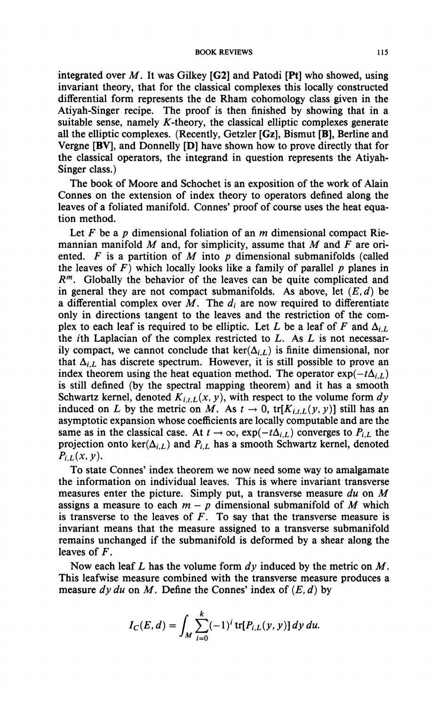integrated over *M*. It was Gilkey [G2] and Patodi [Pt] who showed, using invariant theory, that for the classical complexes this locally constructed differential form represents the de Rham cohomology class given in the Atiyah-Singer recipe. The proof is then finished by showing that in a suitable sense, namely  $K$ -theory, the classical elliptic complexes generate all the elliptic complexes. (Recently, Getzler [Gz], Bismut [B], Berline and Vergne [BV], and Donnelly [D] have shown how to prove directly that for the classical operators, the integrand in question represents the Atiyah-Singer class.)

The book of Moore and Schochet is an exposition of the work of Alain Connes on the extension of index theory to operators defined along the leaves of a foliated manifold. Connes' proof of course uses the heat equation method.

Let *F* be a *p* dimensional foliation of an *m* dimensional compact Riemannian manifold *M* and, for simplicity, assume that *M* and *F* are oriented. *F* is a partition of *M* into *p* dimensional submanifolds (called the leaves of  $F$ ) which locally looks like a family of parallel  $p$  planes in *R m .* Globally the behavior of the leaves can be quite complicated and in general they are not compact submanifolds. As above, let  $(E, d)$  be a differential complex over  $M$ . The  $d_i$  are now required to differentiate only in directions tangent to the leaves and the restriction of the complex to each leaf is required to be elliptic. Let L be a leaf of F and  $\Delta_{i,L}$ the /th Laplacian of the complex restricted to *L.* As *L* is not necessarily compact, we cannot conclude that  $\ker(\Delta_{i,L})$  is finite dimensional, nor that  $\Delta_{i,L}$  has discrete spectrum. However, it is still possible to prove an index theorem using the heat equation method. The operator  $\exp(-t\Delta_{i,l})$ is still defined (by the spectral mapping theorem) and it has a smooth Schwartz kernel, denoted  $K_{i,t,L}(x, y)$ , with respect to the volume form  $dy$ induced on *L* by the metric on *M*. As  $t \to 0$ ,  $\text{tr}[K_{i,t,L}(y, y)]$  still has an asymptotic expansion whose coefficients are locally computable and are the same as in the classical case. At  $t \to \infty$ ,  $\exp(-t\Delta_{i,L})$  converges to  $P_{i,L}$  the projection onto ker( $\Delta_{i,L}$ ) and  $P_{i,L}$  has a smooth Schwartz kernel, denoted  $P_{i,L}(x, y)$ .

To state Connes' index theorem we now need some way to amalgamate the information on individual leaves. This is where invariant transverse measures enter the picture. Simply put, a transverse measure *du* on *M*  assigns a measure to each  $m - p$  dimensional submanifold of M which is transverse to the leaves of  $F$ . To say that the transverse measure is invariant means that the measure assigned to a transverse submanifold remains unchanged if the submanifold is deformed by a shear along the leaves of *F.* 

Now each leaf *L* has the volume form *dy* induced by the metric on *M*. This leafwise measure combined with the transverse measure produces a measure *dy du* on *M*. Define the Connes' index of *(E, d)* by

$$
I_C(E,d) = \int_M \sum_{i=0}^k (-1)^i \, tr[P_{i,L}(y, y)] \, dy \, du.
$$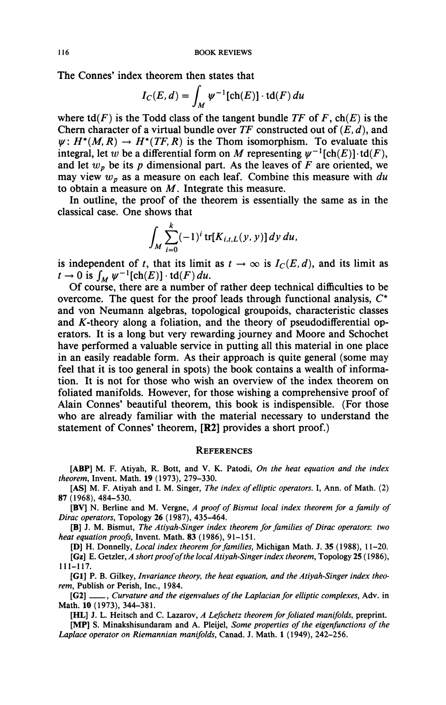The Connes' index theorem then states that

$$
I_C(E,d) = \int_M \psi^{-1}[\text{ch}(E)] \cdot \text{td}(F) du
$$

where  $td(F)$  is the Todd class of the tangent bundle TF of F,  $ch(E)$  is the Chern character of a virtual bundle over *TF* constructed out of *(E, d),* and  $\psi: H^*(M, R) \to H^*(TF, R)$  is the Thom isomorphism. To evaluate this integral, let w be a differential form on M representing  $\psi^{-1}[\text{ch}(E)] \cdot \text{td}(F)$ , and let  $w_p$  be its  $p$  dimensional part. As the leaves of  $F$  are oriented, we may view *wp* as a measure on each leaf. Combine this measure with *du*  to obtain a measure on *M.* Integrate this measure.

In outline, the proof of the theorem is essentially the same as in the classical case. One shows that

$$
\int_M \sum_{i=0}^k (-1)^i \, tr[K_{i,t,L}(y, y)] \, dy \, du,
$$

is independent of t, that its limit as  $t \to \infty$  is  $I_C(E,d)$ , and its limit as  $t \to 0$  is  $\int_M \psi^{-1}[\text{ch}(E)] \cdot \text{td}(F) du$ .

Of course, there are a number of rather deep technical difficulties to be overcome. The quest for the proof leads through functional analysis, *C\**  and von Neumann algebras, topological groupoids, characteristic classes and  $K$ -theory along a foliation, and the theory of pseudodifferential operators. It is a long but very rewarding journey and Moore and Schochet have performed a valuable service in putting all this material in one place in an easily readable form. As their approach is quite general (some may feel that it is too general in spots) the book contains a wealth of information. It is not for those who wish an overview of the index theorem on foliated manifolds. However, for those wishing a comprehensive proof of Alain Connes' beautiful theorem, this book is indispensible. (For those who are already familiar with the material necessary to understand the statement of Connes' theorem, [R2] provides a short proof.)

## **REFERENCES**

**[ABP] M. F. Atiyah, R. Bott, and V. K. Patodi,** *On the heat equation and the index theorem,* **Invent. Math. 19 (1973), 279-330.** 

**[AS] M. F. Atiyah and I. M. Singer,** *The index of elliptic operators.* **I, Ann. of Math. (2) 87(1968), 484-530.** 

**[BV] N. Berline and M. Vergne,** *A proof of Bismut local index theorem for a family of Dirac operators,* **Topology 26 (1987), 435-464.** 

**[B] J. M. Bismut,** *The Atiyah-Singer index theorem for families of Dirac operators: two heat equation proofs,* **Invent. Math. 83 (1986), 91-151.** 

**[D] H. Donnelly,** *Local index theorem for families,* **Michigan Math. J. 35 (1988), 11-20.** 

**[Gz] E. Getzler,** *A short proof of the local Atiyah-Singer index theorem,* **Topology 25 ( 1986), 111-117.** 

**[Gl] P. B. Gilkey,** *Invariance theory, the heat equation, and the Atiyah-Singer index theorem,* **Publish or Perish, Inc., 1984.** 

[G2] \_\_\_, *Curvature and the eigenvalues of the Laplacian for elliptic complexes,* Adv. in **Math. 10 (1973), 344-381.** 

**[HL] J. L. Heitsch and C. Lazarov,** *A Lefschetz theorem for foliated manifolds,* **preprint.** 

**[MP] S. Minakshisundaram and A. Pleijel,** *Some properties of the eigenfunctions of the Laplace operator on Riemannian manifolds,* **Canad. J. Math. 1 (1949), 242-256.**